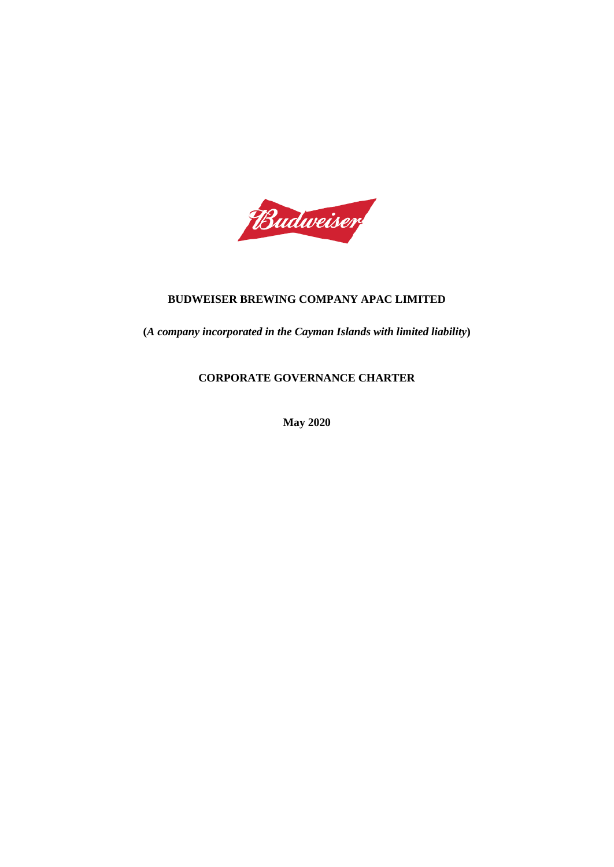

## **BUDWEISER BREWING COMPANY APAC LIMITED**

**(***A company incorporated in the Cayman Islands with limited liability***)**

# **CORPORATE GOVERNANCE CHARTER**

**May 2020**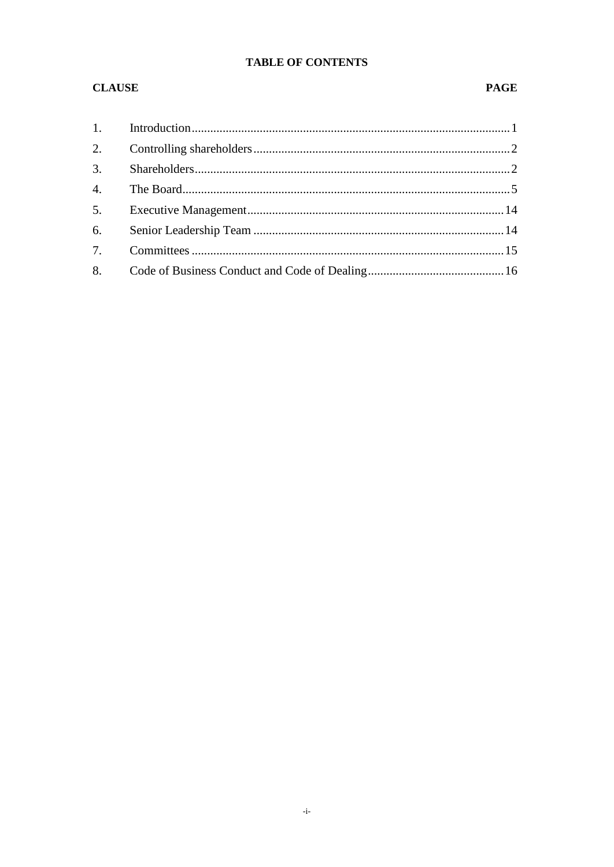# **TABLE OF CONTENTS**

## **CLAUSE**

#### **PAGE**

| 6. |  |
|----|--|
|    |  |
|    |  |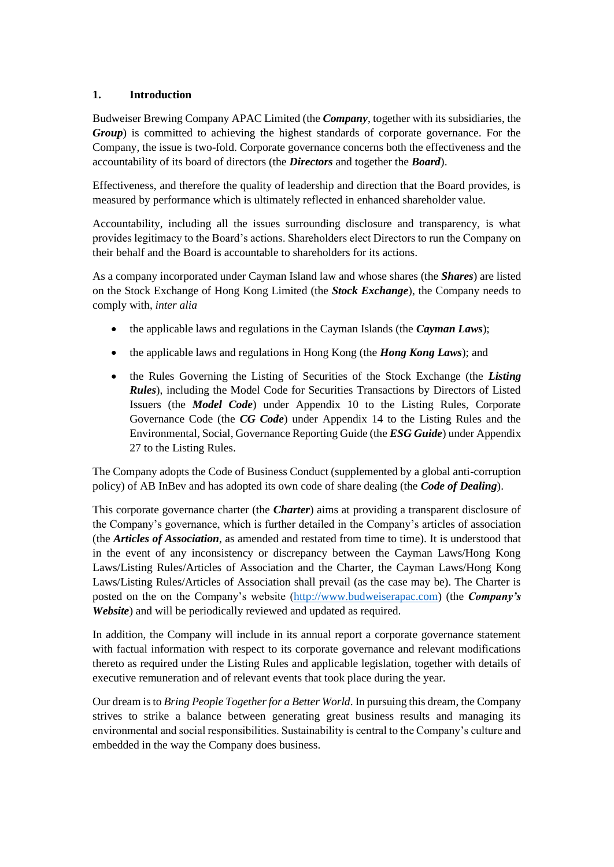#### <span id="page-2-0"></span>**1. Introduction**

Budweiser Brewing Company APAC Limited (the *Company*, together with its subsidiaries, the *Group*) is committed to achieving the highest standards of corporate governance. For the Company, the issue is two-fold. Corporate governance concerns both the effectiveness and the accountability of its board of directors (the *Directors* and together the *Board*).

Effectiveness, and therefore the quality of leadership and direction that the Board provides, is measured by performance which is ultimately reflected in enhanced shareholder value.

Accountability, including all the issues surrounding disclosure and transparency, is what provides legitimacy to the Board's actions. Shareholders elect Directors to run the Company on their behalf and the Board is accountable to shareholders for its actions.

As a company incorporated under Cayman Island law and whose shares (the *Shares*) are listed on the Stock Exchange of Hong Kong Limited (the *Stock Exchange*), the Company needs to comply with, *inter alia*

- the applicable laws and regulations in the Cayman Islands (the *Cayman Laws*);
- the applicable laws and regulations in Hong Kong (the *Hong Kong Laws*); and
- the Rules Governing the Listing of Securities of the Stock Exchange (the *Listing Rules*), including the Model Code for Securities Transactions by Directors of Listed Issuers (the *Model Code*) under Appendix 10 to the Listing Rules, Corporate Governance Code (the *CG Code*) under Appendix 14 to the Listing Rules and the Environmental, Social, Governance Reporting Guide (the *ESG Guide*) under Appendix 27 to the Listing Rules.

The Company adopts the Code of Business Conduct (supplemented by a global anti-corruption policy) of AB InBev and has adopted its own code of share dealing (the *Code of Dealing*).

This corporate governance charter (the *Charter*) aims at providing a transparent disclosure of the Company's governance, which is further detailed in the Company's articles of association (the *Articles of Association*, as amended and restated from time to time). It is understood that in the event of any inconsistency or discrepancy between the Cayman Laws/Hong Kong Laws/Listing Rules/Articles of Association and the Charter, the Cayman Laws/Hong Kong Laws/Listing Rules/Articles of Association shall prevail (as the case may be). The Charter is posted on the on the Company's website [\(http://www.budweiserapac.com\)](http://www.budweiserapac.com/) (the *Company's Website*) and will be periodically reviewed and updated as required.

In addition, the Company will include in its annual report a corporate governance statement with factual information with respect to its corporate governance and relevant modifications thereto as required under the Listing Rules and applicable legislation, together with details of executive remuneration and of relevant events that took place during the year.

Our dream is to *Bring People Together for a Better World*. In pursuing this dream, the Company strives to strike a balance between generating great business results and managing its environmental and social responsibilities. Sustainability is central to the Company's culture and embedded in the way the Company does business.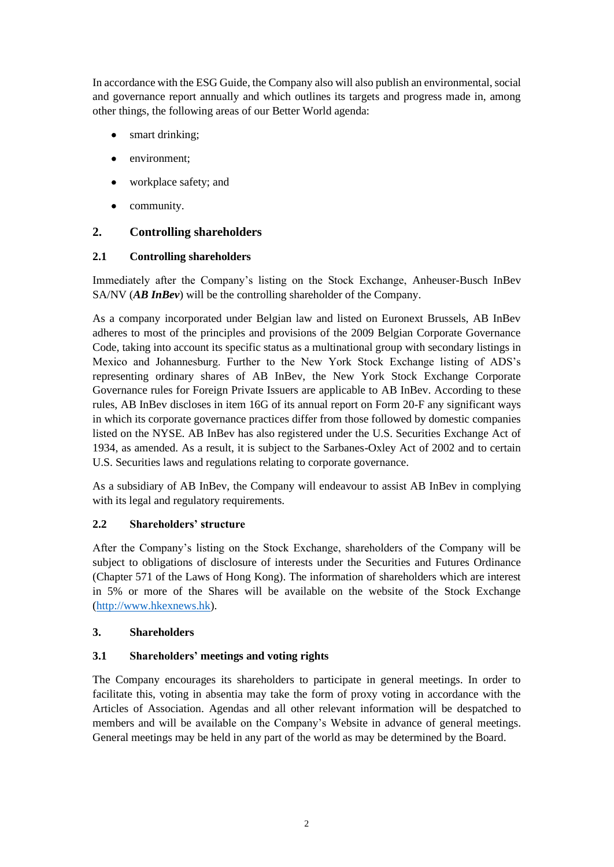In accordance with the ESG Guide, the Company also will also publish an environmental, social and governance report annually and which outlines its targets and progress made in, among other things, the following areas of our Better World agenda:

- smart drinking;
- environment;
- workplace safety; and
- community.

## <span id="page-3-0"></span>**2. Controlling shareholders**

## **2.1 Controlling shareholders**

Immediately after the Company's listing on the Stock Exchange, Anheuser-Busch InBev SA/NV (*AB InBev*) will be the controlling shareholder of the Company.

As a company incorporated under Belgian law and listed on Euronext Brussels, AB InBev adheres to most of the principles and provisions of the 2009 Belgian Corporate Governance Code, taking into account its specific status as a multinational group with secondary listings in Mexico and Johannesburg. Further to the New York Stock Exchange listing of ADS's representing ordinary shares of AB InBev, the New York Stock Exchange Corporate Governance rules for Foreign Private Issuers are applicable to AB InBev. According to these rules, AB InBev discloses in item 16G of its annual report on Form 20-F any significant ways in which its corporate governance practices differ from those followed by domestic companies listed on the NYSE. AB InBev has also registered under the U.S. Securities Exchange Act of 1934, as amended. As a result, it is subject to the Sarbanes-Oxley Act of 2002 and to certain U.S. Securities laws and regulations relating to corporate governance.

As a subsidiary of AB InBev, the Company will endeavour to assist AB InBev in complying with its legal and regulatory requirements.

## **2.2 Shareholders' structure**

After the Company's listing on the Stock Exchange, shareholders of the Company will be subject to obligations of disclosure of interests under the Securities and Futures Ordinance (Chapter 571 of the Laws of Hong Kong). The information of shareholders which are interest in 5% or more of the Shares will be available on the website of the Stock Exchange [\(http://www.hkexnews.hk\)](http://www.hkexnews.hk/).

#### <span id="page-3-1"></span>**3. Shareholders**

## **3.1 Shareholders' meetings and voting rights**

The Company encourages its shareholders to participate in general meetings. In order to facilitate this, voting in absentia may take the form of proxy voting in accordance with the Articles of Association. Agendas and all other relevant information will be despatched to members and will be available on the Company's Website in advance of general meetings. General meetings may be held in any part of the world as may be determined by the Board.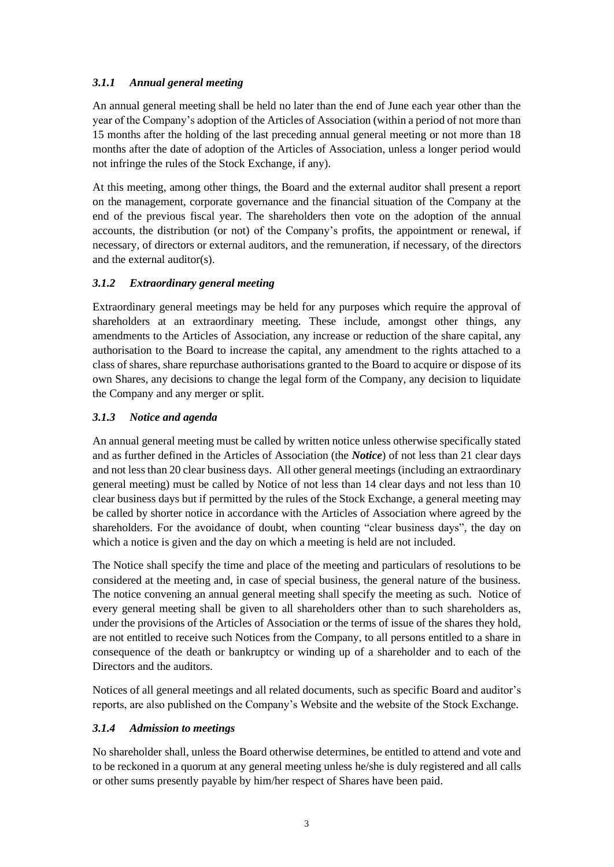## *3.1.1 Annual general meeting*

An annual general meeting shall be held no later than the end of June each year other than the year of the Company's adoption of the Articles of Association (within a period of not more than 15 months after the holding of the last preceding annual general meeting or not more than 18 months after the date of adoption of the Articles of Association, unless a longer period would not infringe the rules of the Stock Exchange, if any).

At this meeting, among other things, the Board and the external auditor shall present a report on the management, corporate governance and the financial situation of the Company at the end of the previous fiscal year. The shareholders then vote on the adoption of the annual accounts, the distribution (or not) of the Company's profits, the appointment or renewal, if necessary, of directors or external auditors, and the remuneration, if necessary, of the directors and the external auditor(s).

## *3.1.2 Extraordinary general meeting*

Extraordinary general meetings may be held for any purposes which require the approval of shareholders at an extraordinary meeting. These include, amongst other things, any amendments to the Articles of Association, any increase or reduction of the share capital, any authorisation to the Board to increase the capital, any amendment to the rights attached to a class of shares, share repurchase authorisations granted to the Board to acquire or dispose of its own Shares, any decisions to change the legal form of the Company, any decision to liquidate the Company and any merger or split.

## *3.1.3 Notice and agenda*

An annual general meeting must be called by written notice unless otherwise specifically stated and as further defined in the Articles of Association (the *Notice*) of not less than 21 clear days and not less than 20 clear business days. All other general meetings (including an extraordinary general meeting) must be called by Notice of not less than 14 clear days and not less than 10 clear business days but if permitted by the rules of the Stock Exchange, a general meeting may be called by shorter notice in accordance with the Articles of Association where agreed by the shareholders. For the avoidance of doubt, when counting "clear business days", the day on which a notice is given and the day on which a meeting is held are not included.

The Notice shall specify the time and place of the meeting and particulars of resolutions to be considered at the meeting and, in case of special business, the general nature of the business. The notice convening an annual general meeting shall specify the meeting as such. Notice of every general meeting shall be given to all shareholders other than to such shareholders as, under the provisions of the Articles of Association or the terms of issue of the shares they hold, are not entitled to receive such Notices from the Company, to all persons entitled to a share in consequence of the death or bankruptcy or winding up of a shareholder and to each of the Directors and the auditors.

Notices of all general meetings and all related documents, such as specific Board and auditor's reports, are also published on the Company's Website and the website of the Stock Exchange.

## *3.1.4 Admission to meetings*

No shareholder shall, unless the Board otherwise determines, be entitled to attend and vote and to be reckoned in a quorum at any general meeting unless he/she is duly registered and all calls or other sums presently payable by him/her respect of Shares have been paid.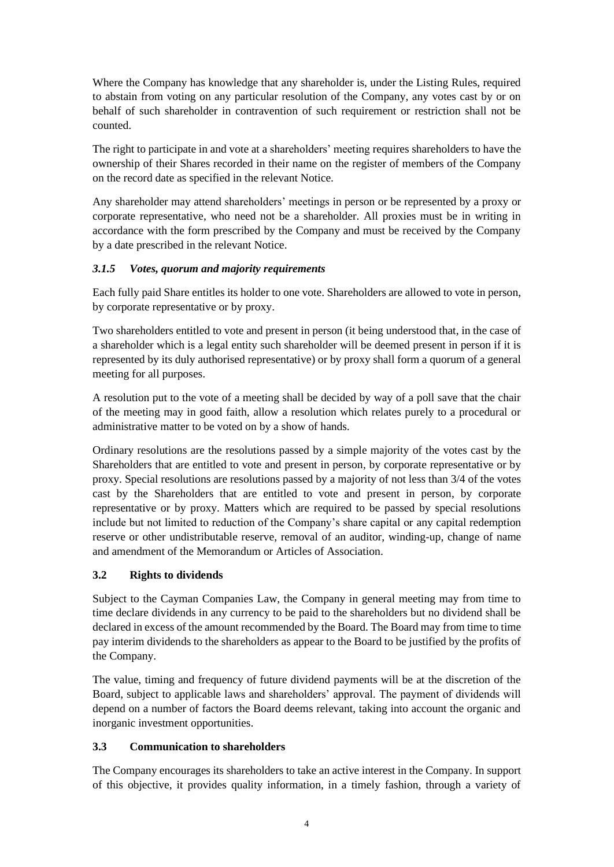Where the Company has knowledge that any shareholder is, under the Listing Rules, required to abstain from voting on any particular resolution of the Company, any votes cast by or on behalf of such shareholder in contravention of such requirement or restriction shall not be counted.

The right to participate in and vote at a shareholders' meeting requires shareholders to have the ownership of their Shares recorded in their name on the register of members of the Company on the record date as specified in the relevant Notice.

Any shareholder may attend shareholders' meetings in person or be represented by a proxy or corporate representative, who need not be a shareholder. All proxies must be in writing in accordance with the form prescribed by the Company and must be received by the Company by a date prescribed in the relevant Notice.

## *3.1.5 Votes, quorum and majority requirements*

Each fully paid Share entitles its holder to one vote. Shareholders are allowed to vote in person, by corporate representative or by proxy.

Two shareholders entitled to vote and present in person (it being understood that, in the case of a shareholder which is a legal entity such shareholder will be deemed present in person if it is represented by its duly authorised representative) or by proxy shall form a quorum of a general meeting for all purposes.

A resolution put to the vote of a meeting shall be decided by way of a poll save that the chair of the meeting may in good faith, allow a resolution which relates purely to a procedural or administrative matter to be voted on by a show of hands.

Ordinary resolutions are the resolutions passed by a simple majority of the votes cast by the Shareholders that are entitled to vote and present in person, by corporate representative or by proxy. Special resolutions are resolutions passed by a majority of not less than 3/4 of the votes cast by the Shareholders that are entitled to vote and present in person, by corporate representative or by proxy. Matters which are required to be passed by special resolutions include but not limited to reduction of the Company's share capital or any capital redemption reserve or other undistributable reserve, removal of an auditor, winding-up, change of name and amendment of the Memorandum or Articles of Association.

## **3.2 Rights to dividends**

Subject to the Cayman Companies Law, the Company in general meeting may from time to time declare dividends in any currency to be paid to the shareholders but no dividend shall be declared in excess of the amount recommended by the Board. The Board may from time to time pay interim dividends to the shareholders as appear to the Board to be justified by the profits of the Company.

The value, timing and frequency of future dividend payments will be at the discretion of the Board, subject to applicable laws and shareholders' approval. The payment of dividends will depend on a number of factors the Board deems relevant, taking into account the organic and inorganic investment opportunities.

## **3.3 Communication to shareholders**

The Company encourages its shareholders to take an active interest in the Company. In support of this objective, it provides quality information, in a timely fashion, through a variety of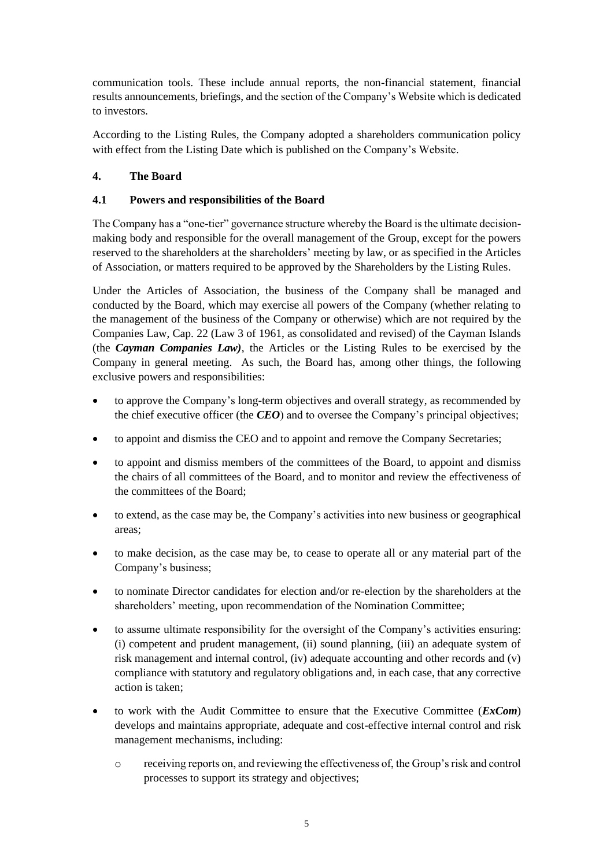communication tools. These include annual reports, the non-financial statement, financial results announcements, briefings, and the section of the Company's Website which is dedicated to investors.

According to the Listing Rules, the Company adopted a shareholders communication policy with effect from the Listing Date which is published on the Company's Website.

## <span id="page-6-0"></span>**4. The Board**

## **4.1 Powers and responsibilities of the Board**

The Company has a "one-tier" governance structure whereby the Board is the ultimate decisionmaking body and responsible for the overall management of the Group, except for the powers reserved to the shareholders at the shareholders' meeting by law, or as specified in the Articles of Association, or matters required to be approved by the Shareholders by the Listing Rules.

Under the Articles of Association, the business of the Company shall be managed and conducted by the Board, which may exercise all powers of the Company (whether relating to the management of the business of the Company or otherwise) which are not required by the Companies Law, Cap. 22 (Law 3 of 1961, as consolidated and revised) of the Cayman Islands (the *Cayman Companies Law)*, the Articles or the Listing Rules to be exercised by the Company in general meeting. As such, the Board has, among other things, the following exclusive powers and responsibilities:

- to approve the Company's long-term objectives and overall strategy, as recommended by the chief executive officer (the *CEO*) and to oversee the Company's principal objectives;
- to appoint and dismiss the CEO and to appoint and remove the Company Secretaries;
- to appoint and dismiss members of the committees of the Board, to appoint and dismiss the chairs of all committees of the Board, and to monitor and review the effectiveness of the committees of the Board;
- to extend, as the case may be, the Company's activities into new business or geographical areas;
- to make decision, as the case may be, to cease to operate all or any material part of the Company's business;
- to nominate Director candidates for election and/or re-election by the shareholders at the shareholders' meeting, upon recommendation of the Nomination Committee;
- to assume ultimate responsibility for the oversight of the Company's activities ensuring: (i) competent and prudent management, (ii) sound planning, (iii) an adequate system of risk management and internal control, (iv) adequate accounting and other records and (v) compliance with statutory and regulatory obligations and, in each case, that any corrective action is taken;
- to work with the Audit Committee to ensure that the Executive Committee (*ExCom*) develops and maintains appropriate, adequate and cost-effective internal control and risk management mechanisms, including:
	- o receiving reports on, and reviewing the effectiveness of, the Group's risk and control processes to support its strategy and objectives;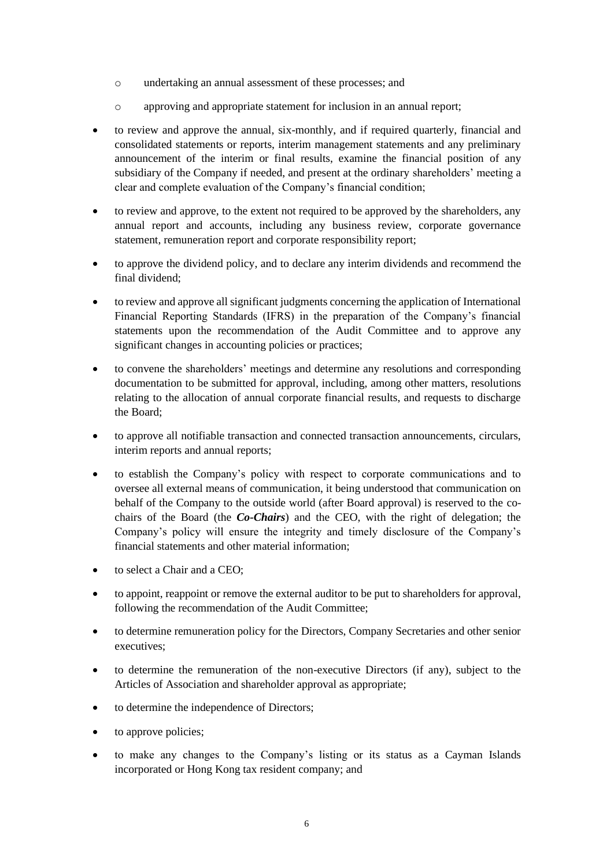- o undertaking an annual assessment of these processes; and
- o approving and appropriate statement for inclusion in an annual report;
- to review and approve the annual, six-monthly, and if required quarterly, financial and consolidated statements or reports, interim management statements and any preliminary announcement of the interim or final results, examine the financial position of any subsidiary of the Company if needed, and present at the ordinary shareholders' meeting a clear and complete evaluation of the Company's financial condition;
- to review and approve, to the extent not required to be approved by the shareholders, any annual report and accounts, including any business review, corporate governance statement, remuneration report and corporate responsibility report;
- to approve the dividend policy, and to declare any interim dividends and recommend the final dividend;
- to review and approve all significant judgments concerning the application of International Financial Reporting Standards (IFRS) in the preparation of the Company's financial statements upon the recommendation of the Audit Committee and to approve any significant changes in accounting policies or practices;
- to convene the shareholders' meetings and determine any resolutions and corresponding documentation to be submitted for approval, including, among other matters, resolutions relating to the allocation of annual corporate financial results, and requests to discharge the Board;
- to approve all notifiable transaction and connected transaction announcements, circulars, interim reports and annual reports;
- to establish the Company's policy with respect to corporate communications and to oversee all external means of communication, it being understood that communication on behalf of the Company to the outside world (after Board approval) is reserved to the cochairs of the Board (the *Co-Chairs*) and the CEO, with the right of delegation; the Company's policy will ensure the integrity and timely disclosure of the Company's financial statements and other material information;
- to select a Chair and a CEO:
- to appoint, reappoint or remove the external auditor to be put to shareholders for approval, following the recommendation of the Audit Committee;
- to determine remuneration policy for the Directors, Company Secretaries and other senior executives;
- to determine the remuneration of the non-executive Directors (if any), subject to the Articles of Association and shareholder approval as appropriate;
- to determine the independence of Directors;
- to approve policies;
- to make any changes to the Company's listing or its status as a Cayman Islands incorporated or Hong Kong tax resident company; and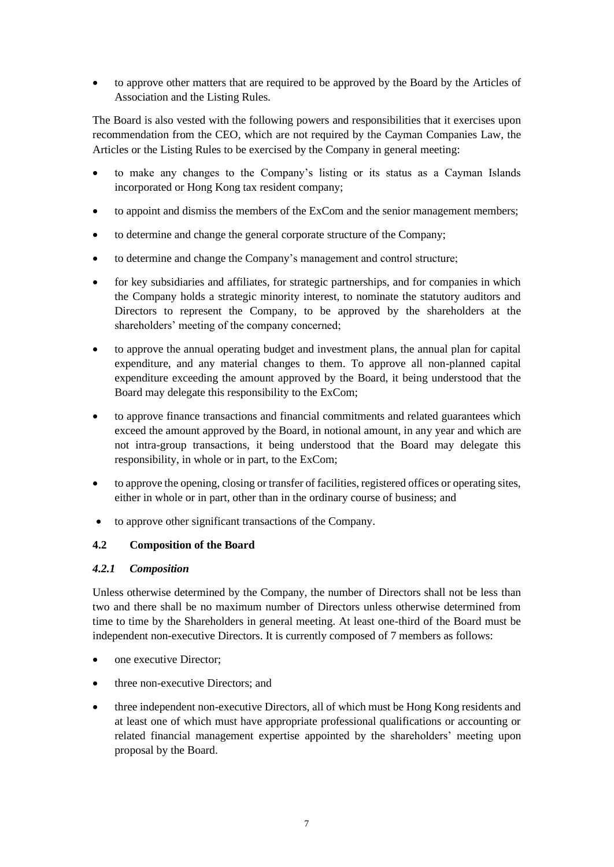• to approve other matters that are required to be approved by the Board by the Articles of Association and the Listing Rules.

The Board is also vested with the following powers and responsibilities that it exercises upon recommendation from the CEO, which are not required by the Cayman Companies Law, the Articles or the Listing Rules to be exercised by the Company in general meeting:

- to make any changes to the Company's listing or its status as a Cayman Islands incorporated or Hong Kong tax resident company;
- to appoint and dismiss the members of the ExCom and the senior management members;
- to determine and change the general corporate structure of the Company;
- to determine and change the Company's management and control structure;
- for key subsidiaries and affiliates, for strategic partnerships, and for companies in which the Company holds a strategic minority interest, to nominate the statutory auditors and Directors to represent the Company, to be approved by the shareholders at the shareholders' meeting of the company concerned;
- to approve the annual operating budget and investment plans, the annual plan for capital expenditure, and any material changes to them. To approve all non-planned capital expenditure exceeding the amount approved by the Board, it being understood that the Board may delegate this responsibility to the ExCom;
- to approve finance transactions and financial commitments and related guarantees which exceed the amount approved by the Board, in notional amount, in any year and which are not intra-group transactions, it being understood that the Board may delegate this responsibility, in whole or in part, to the ExCom;
- to approve the opening, closing or transfer of facilities, registered offices or operating sites, either in whole or in part, other than in the ordinary course of business; and
- to approve other significant transactions of the Company.

## **4.2 Composition of the Board**

## *4.2.1 Composition*

Unless otherwise determined by the Company, the number of Directors shall not be less than two and there shall be no maximum number of Directors unless otherwise determined from time to time by the Shareholders in general meeting. At least one-third of the Board must be independent non-executive Directors. It is currently composed of 7 members as follows:

- one executive Director:
- three non-executive Directors; and
- three independent non-executive Directors, all of which must be Hong Kong residents and at least one of which must have appropriate professional qualifications or accounting or related financial management expertise appointed by the shareholders' meeting upon proposal by the Board.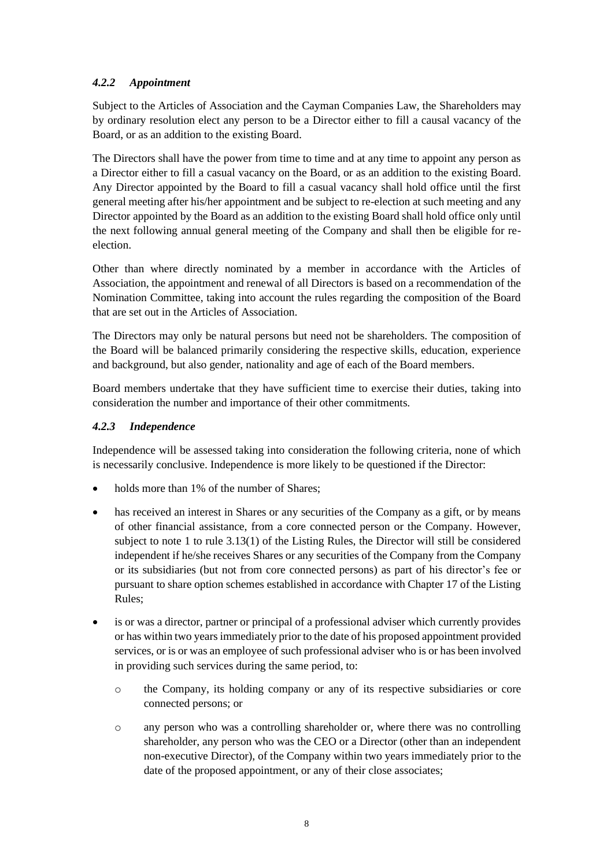## *4.2.2 Appointment*

Subject to the Articles of Association and the Cayman Companies Law, the Shareholders may by ordinary resolution elect any person to be a Director either to fill a causal vacancy of the Board, or as an addition to the existing Board.

The Directors shall have the power from time to time and at any time to appoint any person as a Director either to fill a casual vacancy on the Board, or as an addition to the existing Board. Any Director appointed by the Board to fill a casual vacancy shall hold office until the first general meeting after his/her appointment and be subject to re-election at such meeting and any Director appointed by the Board as an addition to the existing Board shall hold office only until the next following annual general meeting of the Company and shall then be eligible for reelection.

Other than where directly nominated by a member in accordance with the Articles of Association, the appointment and renewal of all Directors is based on a recommendation of the Nomination Committee, taking into account the rules regarding the composition of the Board that are set out in the Articles of Association.

The Directors may only be natural persons but need not be shareholders. The composition of the Board will be balanced primarily considering the respective skills, education, experience and background, but also gender, nationality and age of each of the Board members.

Board members undertake that they have sufficient time to exercise their duties, taking into consideration the number and importance of their other commitments.

## *4.2.3 Independence*

Independence will be assessed taking into consideration the following criteria, none of which is necessarily conclusive. Independence is more likely to be questioned if the Director:

- holds more than 1% of the number of Shares;
- has received an interest in Shares or any securities of the Company as a gift, or by means of other financial assistance, from a core connected person or the Company. However, subject to note 1 to rule 3.13(1) of the Listing Rules, the Director will still be considered independent if he/she receives Shares or any securities of the Company from the Company or its subsidiaries (but not from core connected persons) as part of his director's fee or pursuant to share option schemes established in accordance with Chapter 17 of the Listing Rules;
- is or was a director, partner or principal of a professional adviser which currently provides or has within two years immediately prior to the date of his proposed appointment provided services, or is or was an employee of such professional adviser who is or has been involved in providing such services during the same period, to:
	- o the Company, its holding company or any of its respective subsidiaries or core connected persons; or
	- o any person who was a controlling shareholder or, where there was no controlling shareholder, any person who was the CEO or a Director (other than an independent non-executive Director), of the Company within two years immediately prior to the date of the proposed appointment, or any of their close associates;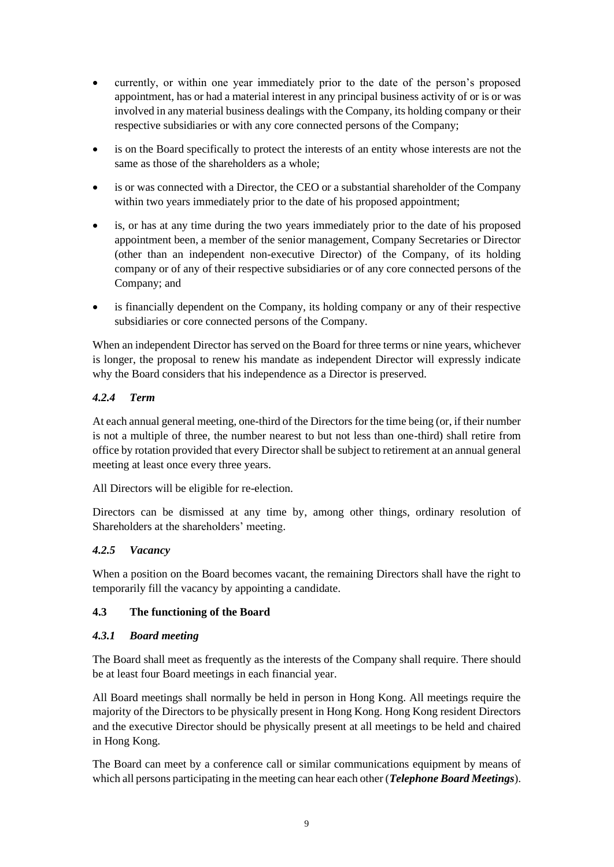- currently, or within one year immediately prior to the date of the person's proposed appointment, has or had a material interest in any principal business activity of or is or was involved in any material business dealings with the Company, its holding company or their respective subsidiaries or with any core connected persons of the Company;
- is on the Board specifically to protect the interests of an entity whose interests are not the same as those of the shareholders as a whole;
- is or was connected with a Director, the CEO or a substantial shareholder of the Company within two years immediately prior to the date of his proposed appointment:
- is, or has at any time during the two years immediately prior to the date of his proposed appointment been, a member of the senior management, Company Secretaries or Director (other than an independent non-executive Director) of the Company, of its holding company or of any of their respective subsidiaries or of any core connected persons of the Company; and
- is financially dependent on the Company, its holding company or any of their respective subsidiaries or core connected persons of the Company.

When an independent Director has served on the Board for three terms or nine years, whichever is longer, the proposal to renew his mandate as independent Director will expressly indicate why the Board considers that his independence as a Director is preserved.

## *4.2.4 Term*

At each annual general meeting, one-third of the Directors for the time being (or, if their number is not a multiple of three, the number nearest to but not less than one-third) shall retire from office by rotation provided that every Director shall be subject to retirement at an annual general meeting at least once every three years.

All Directors will be eligible for re-election.

Directors can be dismissed at any time by, among other things, ordinary resolution of Shareholders at the shareholders' meeting.

## *4.2.5 Vacancy*

When a position on the Board becomes vacant, the remaining Directors shall have the right to temporarily fill the vacancy by appointing a candidate.

## **4.3 The functioning of the Board**

#### *4.3.1 Board meeting*

The Board shall meet as frequently as the interests of the Company shall require. There should be at least four Board meetings in each financial year.

All Board meetings shall normally be held in person in Hong Kong. All meetings require the majority of the Directors to be physically present in Hong Kong. Hong Kong resident Directors and the executive Director should be physically present at all meetings to be held and chaired in Hong Kong.

The Board can meet by a conference call or similar communications equipment by means of which all persons participating in the meeting can hear each other (*Telephone Board Meetings*).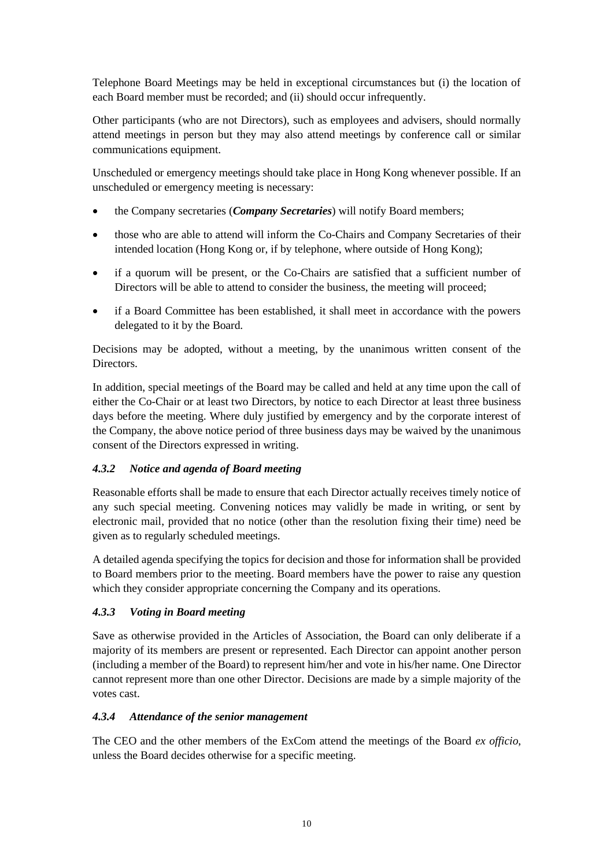Telephone Board Meetings may be held in exceptional circumstances but (i) the location of each Board member must be recorded; and (ii) should occur infrequently.

Other participants (who are not Directors), such as employees and advisers, should normally attend meetings in person but they may also attend meetings by conference call or similar communications equipment.

Unscheduled or emergency meetings should take place in Hong Kong whenever possible. If an unscheduled or emergency meeting is necessary:

- the Company secretaries (*Company Secretaries*) will notify Board members;
- those who are able to attend will inform the Co-Chairs and Company Secretaries of their intended location (Hong Kong or, if by telephone, where outside of Hong Kong);
- if a quorum will be present, or the Co-Chairs are satisfied that a sufficient number of Directors will be able to attend to consider the business, the meeting will proceed;
- if a Board Committee has been established, it shall meet in accordance with the powers delegated to it by the Board.

Decisions may be adopted, without a meeting, by the unanimous written consent of the Directors.

In addition, special meetings of the Board may be called and held at any time upon the call of either the Co-Chair or at least two Directors, by notice to each Director at least three business days before the meeting. Where duly justified by emergency and by the corporate interest of the Company, the above notice period of three business days may be waived by the unanimous consent of the Directors expressed in writing.

#### *4.3.2 Notice and agenda of Board meeting*

Reasonable efforts shall be made to ensure that each Director actually receives timely notice of any such special meeting. Convening notices may validly be made in writing, or sent by electronic mail, provided that no notice (other than the resolution fixing their time) need be given as to regularly scheduled meetings.

A detailed agenda specifying the topics for decision and those for information shall be provided to Board members prior to the meeting. Board members have the power to raise any question which they consider appropriate concerning the Company and its operations.

#### *4.3.3 Voting in Board meeting*

Save as otherwise provided in the Articles of Association, the Board can only deliberate if a majority of its members are present or represented. Each Director can appoint another person (including a member of the Board) to represent him/her and vote in his/her name. One Director cannot represent more than one other Director. Decisions are made by a simple majority of the votes cast.

#### *4.3.4 Attendance of the senior management*

The CEO and the other members of the ExCom attend the meetings of the Board *ex officio*, unless the Board decides otherwise for a specific meeting.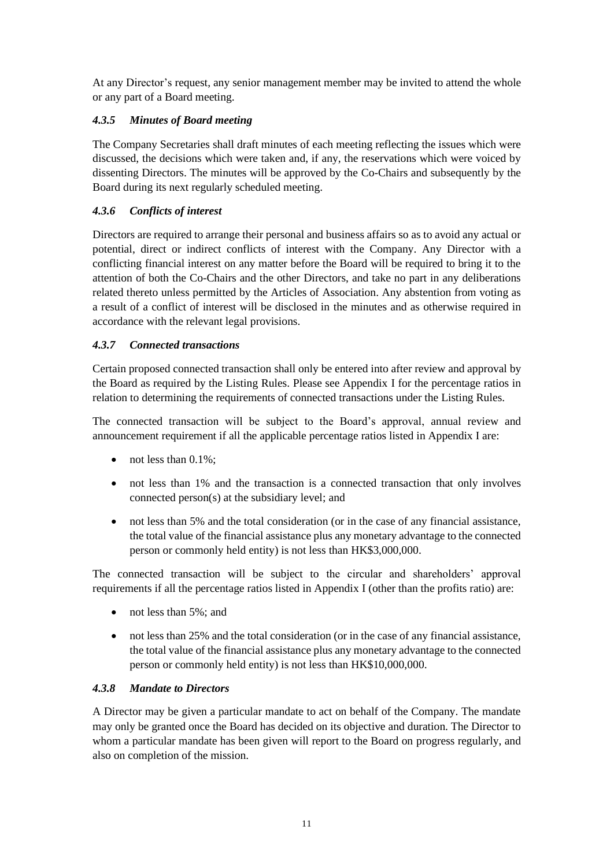At any Director's request, any senior management member may be invited to attend the whole or any part of a Board meeting.

## *4.3.5 Minutes of Board meeting*

The Company Secretaries shall draft minutes of each meeting reflecting the issues which were discussed, the decisions which were taken and, if any, the reservations which were voiced by dissenting Directors. The minutes will be approved by the Co-Chairs and subsequently by the Board during its next regularly scheduled meeting.

## *4.3.6 Conflicts of interest*

Directors are required to arrange their personal and business affairs so as to avoid any actual or potential, direct or indirect conflicts of interest with the Company. Any Director with a conflicting financial interest on any matter before the Board will be required to bring it to the attention of both the Co-Chairs and the other Directors, and take no part in any deliberations related thereto unless permitted by the Articles of Association. Any abstention from voting as a result of a conflict of interest will be disclosed in the minutes and as otherwise required in accordance with the relevant legal provisions.

## *4.3.7 Connected transactions*

Certain proposed connected transaction shall only be entered into after review and approval by the Board as required by the Listing Rules. Please see Appendix I for the percentage ratios in relation to determining the requirements of connected transactions under the Listing Rules.

The connected transaction will be subject to the Board's approval, annual review and announcement requirement if all the applicable percentage ratios listed in Appendix I are:

- not less than 0.1%;
- not less than 1% and the transaction is a connected transaction that only involves connected person(s) at the subsidiary level; and
- not less than 5% and the total consideration (or in the case of any financial assistance, the total value of the financial assistance plus any monetary advantage to the connected person or commonly held entity) is not less than HK\$3,000,000.

The connected transaction will be subject to the circular and shareholders' approval requirements if all the percentage ratios listed in Appendix I (other than the profits ratio) are:

- not less than 5%; and
- not less than 25% and the total consideration (or in the case of any financial assistance, the total value of the financial assistance plus any monetary advantage to the connected person or commonly held entity) is not less than HK\$10,000,000.

## *4.3.8 Mandate to Directors*

A Director may be given a particular mandate to act on behalf of the Company. The mandate may only be granted once the Board has decided on its objective and duration. The Director to whom a particular mandate has been given will report to the Board on progress regularly, and also on completion of the mission.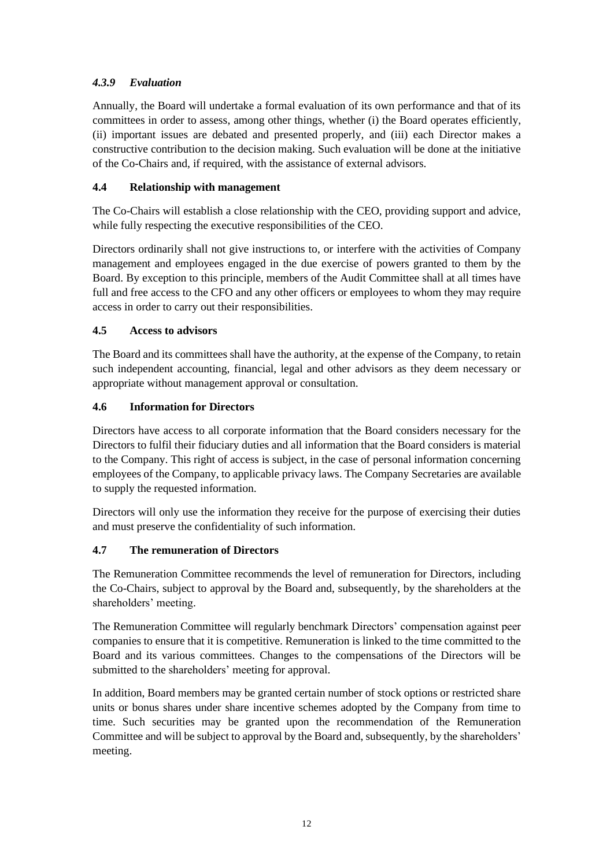## *4.3.9 Evaluation*

Annually, the Board will undertake a formal evaluation of its own performance and that of its committees in order to assess, among other things, whether (i) the Board operates efficiently, (ii) important issues are debated and presented properly, and (iii) each Director makes a constructive contribution to the decision making. Such evaluation will be done at the initiative of the Co-Chairs and, if required, with the assistance of external advisors.

## **4.4 Relationship with management**

The Co-Chairs will establish a close relationship with the CEO, providing support and advice, while fully respecting the executive responsibilities of the CEO.

Directors ordinarily shall not give instructions to, or interfere with the activities of Company management and employees engaged in the due exercise of powers granted to them by the Board. By exception to this principle, members of the Audit Committee shall at all times have full and free access to the CFO and any other officers or employees to whom they may require access in order to carry out their responsibilities.

## **4.5 Access to advisors**

The Board and its committees shall have the authority, at the expense of the Company, to retain such independent accounting, financial, legal and other advisors as they deem necessary or appropriate without management approval or consultation.

## **4.6 Information for Directors**

Directors have access to all corporate information that the Board considers necessary for the Directors to fulfil their fiduciary duties and all information that the Board considers is material to the Company. This right of access is subject, in the case of personal information concerning employees of the Company, to applicable privacy laws. The Company Secretaries are available to supply the requested information.

Directors will only use the information they receive for the purpose of exercising their duties and must preserve the confidentiality of such information.

## **4.7 The remuneration of Directors**

The Remuneration Committee recommends the level of remuneration for Directors, including the Co-Chairs, subject to approval by the Board and, subsequently, by the shareholders at the shareholders' meeting.

The Remuneration Committee will regularly benchmark Directors' compensation against peer companies to ensure that it is competitive. Remuneration is linked to the time committed to the Board and its various committees. Changes to the compensations of the Directors will be submitted to the shareholders' meeting for approval.

In addition, Board members may be granted certain number of stock options or restricted share units or bonus shares under share incentive schemes adopted by the Company from time to time. Such securities may be granted upon the recommendation of the Remuneration Committee and will be subject to approval by the Board and, subsequently, by the shareholders' meeting.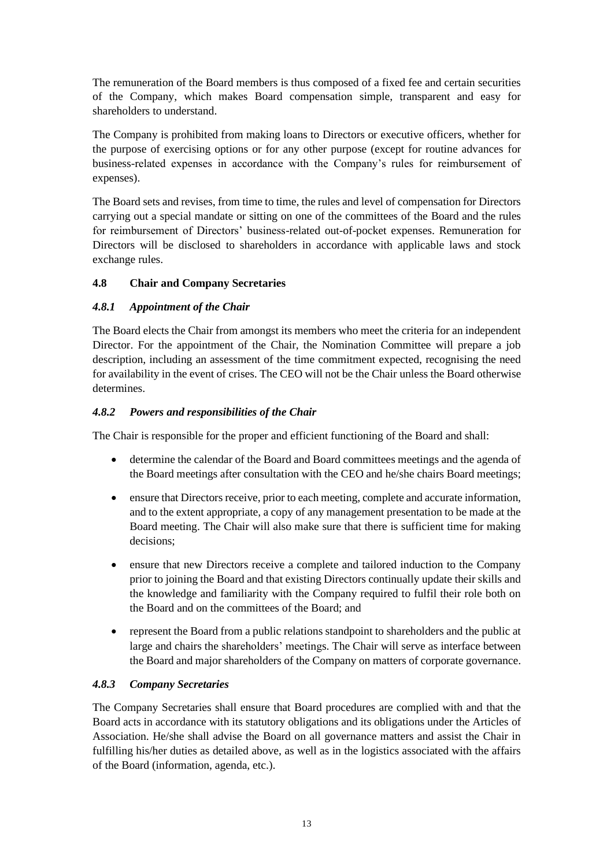The remuneration of the Board members is thus composed of a fixed fee and certain securities of the Company, which makes Board compensation simple, transparent and easy for shareholders to understand.

The Company is prohibited from making loans to Directors or executive officers, whether for the purpose of exercising options or for any other purpose (except for routine advances for business-related expenses in accordance with the Company's rules for reimbursement of expenses).

The Board sets and revises, from time to time, the rules and level of compensation for Directors carrying out a special mandate or sitting on one of the committees of the Board and the rules for reimbursement of Directors' business-related out-of-pocket expenses. Remuneration for Directors will be disclosed to shareholders in accordance with applicable laws and stock exchange rules.

## **4.8 Chair and Company Secretaries**

## *4.8.1 Appointment of the Chair*

The Board elects the Chair from amongst its members who meet the criteria for an independent Director. For the appointment of the Chair, the Nomination Committee will prepare a job description, including an assessment of the time commitment expected, recognising the need for availability in the event of crises. The CEO will not be the Chair unless the Board otherwise determines.

#### *4.8.2 Powers and responsibilities of the Chair*

The Chair is responsible for the proper and efficient functioning of the Board and shall:

- determine the calendar of the Board and Board committees meetings and the agenda of the Board meetings after consultation with the CEO and he/she chairs Board meetings;
- ensure that Directors receive, prior to each meeting, complete and accurate information, and to the extent appropriate, a copy of any management presentation to be made at the Board meeting. The Chair will also make sure that there is sufficient time for making decisions;
- ensure that new Directors receive a complete and tailored induction to the Company prior to joining the Board and that existing Directors continually update their skills and the knowledge and familiarity with the Company required to fulfil their role both on the Board and on the committees of the Board; and
- represent the Board from a public relations standpoint to shareholders and the public at large and chairs the shareholders' meetings. The Chair will serve as interface between the Board and major shareholders of the Company on matters of corporate governance.

#### *4.8.3 Company Secretaries*

The Company Secretaries shall ensure that Board procedures are complied with and that the Board acts in accordance with its statutory obligations and its obligations under the Articles of Association. He/she shall advise the Board on all governance matters and assist the Chair in fulfilling his/her duties as detailed above, as well as in the logistics associated with the affairs of the Board (information, agenda, etc.).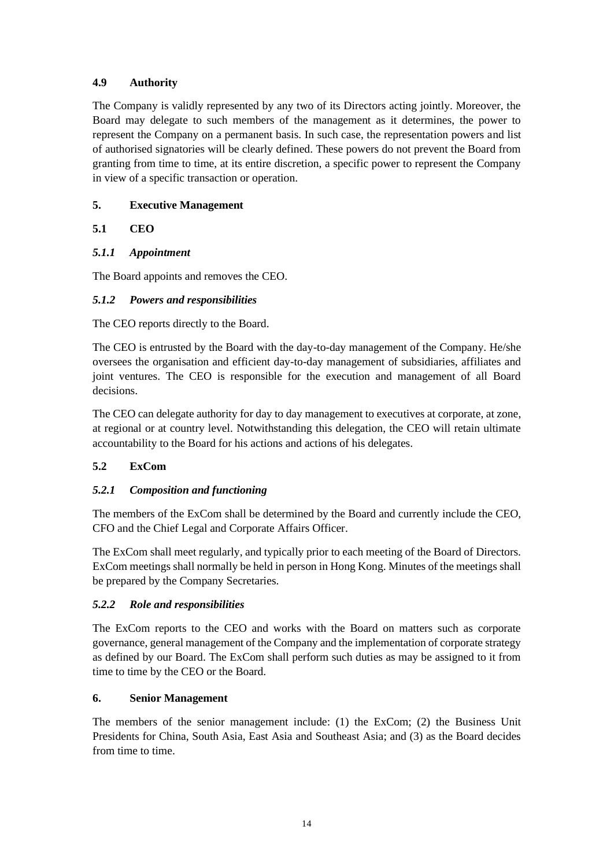## **4.9 Authority**

The Company is validly represented by any two of its Directors acting jointly. Moreover, the Board may delegate to such members of the management as it determines, the power to represent the Company on a permanent basis. In such case, the representation powers and list of authorised signatories will be clearly defined. These powers do not prevent the Board from granting from time to time, at its entire discretion, a specific power to represent the Company in view of a specific transaction or operation.

## <span id="page-15-0"></span>**5. Executive Management**

## **5.1 CEO**

## *5.1.1 Appointment*

The Board appoints and removes the CEO.

## *5.1.2 Powers and responsibilities*

The CEO reports directly to the Board.

The CEO is entrusted by the Board with the day-to-day management of the Company. He/she oversees the organisation and efficient day-to-day management of subsidiaries, affiliates and joint ventures. The CEO is responsible for the execution and management of all Board decisions.

The CEO can delegate authority for day to day management to executives at corporate, at zone, at regional or at country level. Notwithstanding this delegation, the CEO will retain ultimate accountability to the Board for his actions and actions of his delegates.

## **5.2 ExCom**

## *5.2.1 Composition and functioning*

The members of the ExCom shall be determined by the Board and currently include the CEO, CFO and the Chief Legal and Corporate Affairs Officer.

The ExCom shall meet regularly, and typically prior to each meeting of the Board of Directors. ExCom meetings shall normally be held in person in Hong Kong. Minutes of the meetings shall be prepared by the Company Secretaries.

## *5.2.2 Role and responsibilities*

The ExCom reports to the CEO and works with the Board on matters such as corporate governance, general management of the Company and the implementation of corporate strategy as defined by our Board. The ExCom shall perform such duties as may be assigned to it from time to time by the CEO or the Board.

## <span id="page-15-1"></span>**6. Senior Management**

The members of the senior management include: (1) the ExCom; (2) the Business Unit Presidents for China, South Asia, East Asia and Southeast Asia; and (3) as the Board decides from time to time.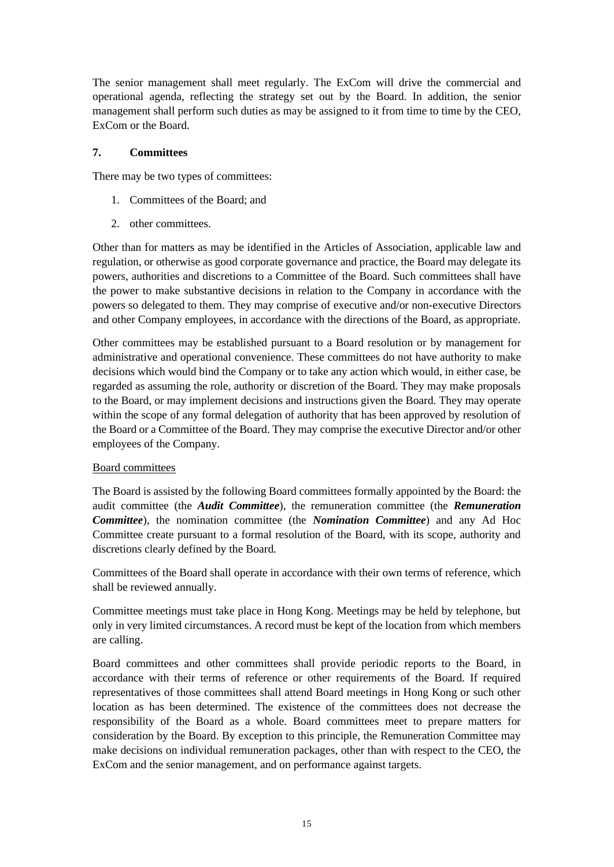The senior management shall meet regularly. The ExCom will drive the commercial and operational agenda, reflecting the strategy set out by the Board. In addition, the senior management shall perform such duties as may be assigned to it from time to time by the CEO, ExCom or the Board.

#### <span id="page-16-0"></span>**7. Committees**

There may be two types of committees:

- 1. Committees of the Board; and
- 2. other committees.

Other than for matters as may be identified in the Articles of Association, applicable law and regulation, or otherwise as good corporate governance and practice, the Board may delegate its powers, authorities and discretions to a Committee of the Board. Such committees shall have the power to make substantive decisions in relation to the Company in accordance with the powers so delegated to them. They may comprise of executive and/or non-executive Directors and other Company employees, in accordance with the directions of the Board, as appropriate.

Other committees may be established pursuant to a Board resolution or by management for administrative and operational convenience. These committees do not have authority to make decisions which would bind the Company or to take any action which would, in either case, be regarded as assuming the role, authority or discretion of the Board. They may make proposals to the Board, or may implement decisions and instructions given the Board. They may operate within the scope of any formal delegation of authority that has been approved by resolution of the Board or a Committee of the Board. They may comprise the executive Director and/or other employees of the Company.

## Board committees

The Board is assisted by the following Board committees formally appointed by the Board: the audit committee (the *Audit Committee*), the remuneration committee (the *Remuneration Committee*), the nomination committee (the *Nomination Committee*) and any Ad Hoc Committee create pursuant to a formal resolution of the Board, with its scope, authority and discretions clearly defined by the Board.

Committees of the Board shall operate in accordance with their own terms of reference, which shall be reviewed annually.

Committee meetings must take place in Hong Kong. Meetings may be held by telephone, but only in very limited circumstances. A record must be kept of the location from which members are calling.

Board committees and other committees shall provide periodic reports to the Board, in accordance with their terms of reference or other requirements of the Board. If required representatives of those committees shall attend Board meetings in Hong Kong or such other location as has been determined. The existence of the committees does not decrease the responsibility of the Board as a whole. Board committees meet to prepare matters for consideration by the Board. By exception to this principle, the Remuneration Committee may make decisions on individual remuneration packages, other than with respect to the CEO, the ExCom and the senior management, and on performance against targets.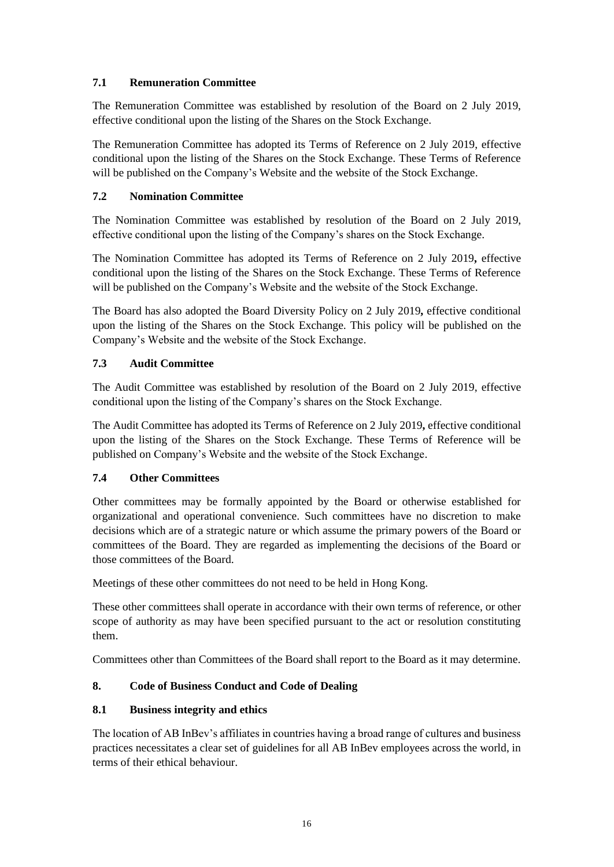## **7.1 Remuneration Committee**

The Remuneration Committee was established by resolution of the Board on 2 July 2019, effective conditional upon the listing of the Shares on the Stock Exchange.

The Remuneration Committee has adopted its Terms of Reference on 2 July 2019, effective conditional upon the listing of the Shares on the Stock Exchange. These Terms of Reference will be published on the Company's Website and the website of the Stock Exchange.

## **7.2 Nomination Committee**

The Nomination Committee was established by resolution of the Board on 2 July 2019, effective conditional upon the listing of the Company's shares on the Stock Exchange.

The Nomination Committee has adopted its Terms of Reference on 2 July 2019**,** effective conditional upon the listing of the Shares on the Stock Exchange. These Terms of Reference will be published on the Company's Website and the website of the Stock Exchange.

The Board has also adopted the Board Diversity Policy on 2 July 2019**,** effective conditional upon the listing of the Shares on the Stock Exchange. This policy will be published on the Company's Website and the website of the Stock Exchange.

## **7.3 Audit Committee**

The Audit Committee was established by resolution of the Board on 2 July 2019, effective conditional upon the listing of the Company's shares on the Stock Exchange.

The Audit Committee has adopted its Terms of Reference on 2 July 2019**,** effective conditional upon the listing of the Shares on the Stock Exchange. These Terms of Reference will be published on Company's Website and the website of the Stock Exchange.

## **7.4 Other Committees**

Other committees may be formally appointed by the Board or otherwise established for organizational and operational convenience. Such committees have no discretion to make decisions which are of a strategic nature or which assume the primary powers of the Board or committees of the Board. They are regarded as implementing the decisions of the Board or those committees of the Board.

Meetings of these other committees do not need to be held in Hong Kong.

These other committees shall operate in accordance with their own terms of reference, or other scope of authority as may have been specified pursuant to the act or resolution constituting them.

Committees other than Committees of the Board shall report to the Board as it may determine.

## <span id="page-17-0"></span>**8. Code of Business Conduct and Code of Dealing**

## **8.1 Business integrity and ethics**

The location of AB InBev's affiliates in countries having a broad range of cultures and business practices necessitates a clear set of guidelines for all AB InBev employees across the world, in terms of their ethical behaviour.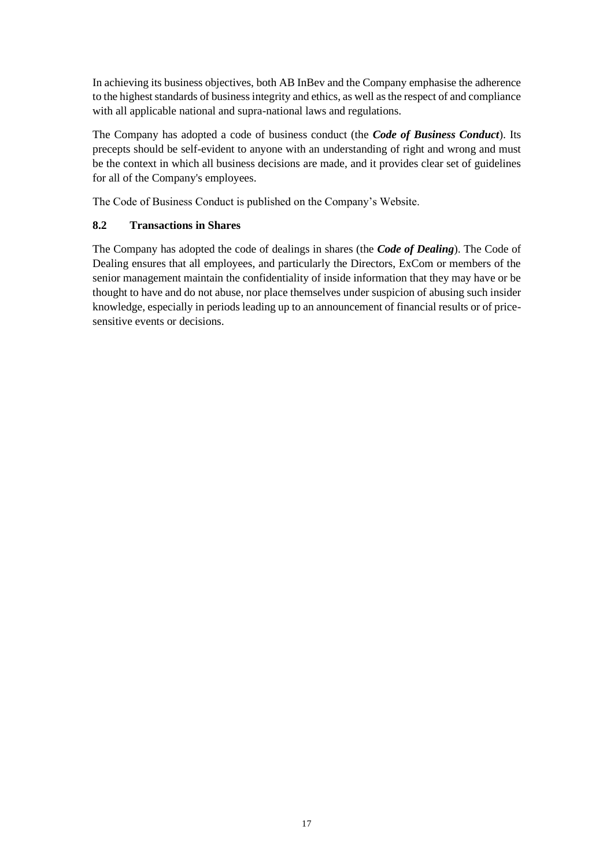In achieving its business objectives, both AB InBev and the Company emphasise the adherence to the highest standards of business integrity and ethics, as well as the respect of and compliance with all applicable national and supra-national laws and regulations.

The Company has adopted a code of business conduct (the *Code of Business Conduct*). Its precepts should be self-evident to anyone with an understanding of right and wrong and must be the context in which all business decisions are made, and it provides clear set of guidelines for all of the Company's employees.

The Code of Business Conduct is published on the Company's Website.

## **8.2 Transactions in Shares**

The Company has adopted the code of dealings in shares (the *Code of Dealing*). The Code of Dealing ensures that all employees, and particularly the Directors, ExCom or members of the senior management maintain the confidentiality of inside information that they may have or be thought to have and do not abuse, nor place themselves under suspicion of abusing such insider knowledge, especially in periods leading up to an announcement of financial results or of pricesensitive events or decisions.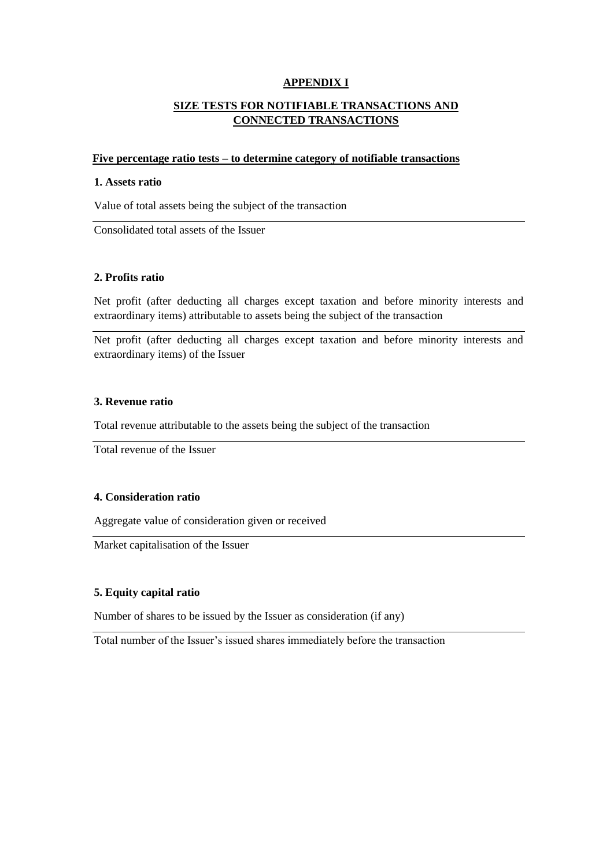#### **APPENDIX I**

## **SIZE TESTS FOR NOTIFIABLE TRANSACTIONS AND CONNECTED TRANSACTIONS**

#### **Five percentage ratio tests – to determine category of notifiable transactions**

#### **1. Assets ratio**

Value of total assets being the subject of the transaction

Consolidated total assets of the Issuer

#### **2. Profits ratio**

Net profit (after deducting all charges except taxation and before minority interests and extraordinary items) attributable to assets being the subject of the transaction

Net profit (after deducting all charges except taxation and before minority interests and extraordinary items) of the Issuer

#### **3. Revenue ratio**

Total revenue attributable to the assets being the subject of the transaction

Total revenue of the Issuer

#### **4. Consideration ratio**

Aggregate value of consideration given or received

Market capitalisation of the Issuer

#### **5. Equity capital ratio**

Number of shares to be issued by the Issuer as consideration (if any)

Total number of the Issuer's issued shares immediately before the transaction